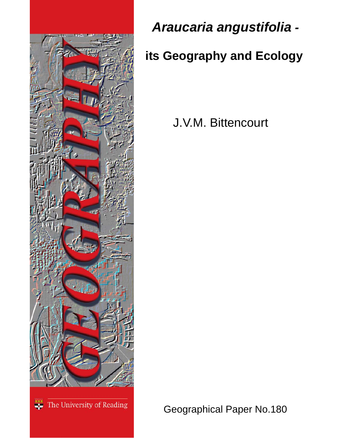

*Araucaria angustifolia -* 

# **its Geography and Ecology**

J.V.M. Bittencourt

<sup>\*\*\*</sup> The University of Reading

Geographical Paper No.180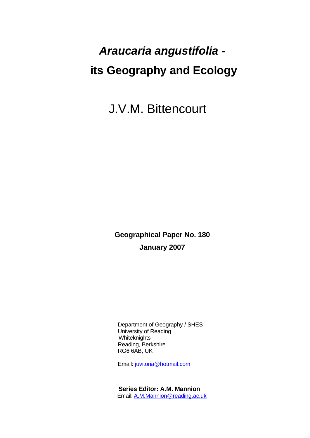# *Araucaria angustifolia*   **its Geography and Ecology**

J.V.M. Bittencourt

**Geographical Paper No. 180 January 2007** 

 Department of Geography / SHES University of Reading **Whiteknights**  Reading, Berkshire RG6 6AB, UK

Email: [juvitoria@hotmail.com](mailto:juvitoria@hotmail.com)

 **Series Editor: A.M. Mannion** Email: [A.M.Mannion@reading.ac.uk](mailto:A.M.Mannion@reading.ac.uk)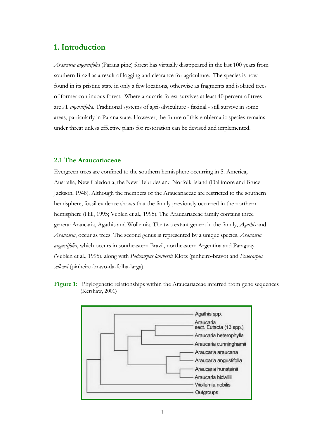## **1. Introduction**

*Araucaria angustifolia* (Parana pine) forest has virtually disappeared in the last 100 years from southern Brazil as a result of logging and clearance for agriculture. The species is now found in its pristine state in only a few locations, otherwise as fragments and isolated trees of former continuous forest. Where araucaria forest survives at least 40 percent of trees are *A. angustifolia.* Traditional systems of agri-silviculture - faxinal - still survive in some areas, particularly in Parana state. However, the future of this emblematic species remains under threat unless effective plans for restoration can be devised and implemented.

### **2.1 The Araucariaceae**

Evergreen trees are confined to the southern hemisphere occurring in S. America, Australia, New Caledonia, the New Hebrides and Norfolk Island (Dallimore and Bruce Jackson, 1948). Although the members of the Araucariaceae are restricted to the southern hemisphere, fossil evidence shows that the family previously occurred in the northern hemisphere (Hill, 1995; Veblen et al., 1995). The Araucariaceae family contains three genera: Araucaria, Agathis and Wollemia. The two extant genera in the family, *Agathis* and *Araucaria*, occur as trees. The second genus is represented by a unique species, *Araucaria angustifolia*, which occurs in southeastern Brazil, northeastern Argentina and Paraguay (Veblen et al., 1995), along with *Podocarpus lambertii* Klotz (pinheiro-bravo) and *Podocarpus sellowii* (pinheiro-bravo-da-folha-larga).

**Figure 1:** Phylogenetic relationships within the Araucariaceae inferred from gene sequences (Kershaw, 2001)

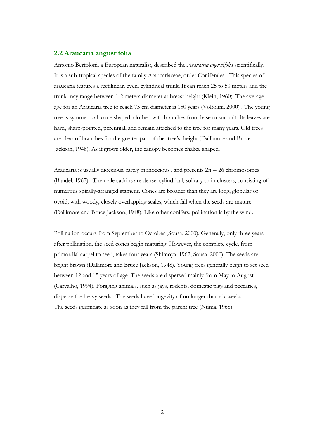#### **2.2 Araucaria angustifolia**

Antonio Bertoloni, a European naturalist, described the *Araucaria angustifolia* scientifically. It is a sub-tropical species of the family Araucariaceae, order Coniferales. This species of araucaria features a rectilinear, even, cylindrical trunk. It can reach 25 to 50 meters and the trunk may range between 1-2 meters diameter at breast height (Klein, 1960). The average age for an Araucaria tree to reach 75 cm diameter is 150 years (Voltolini, 2000) . The young tree is symmetrical, cone shaped, clothed with branches from base to summit. Its leaves are hard, sharp-pointed, perennial, and remain attached to the tree for many years. Old trees are clear of branches for the greater part of the tree's height (Dallimore and Bruce Jackson, 1948). As it grows older, the canopy becomes chalice shaped.

Araucaria is usually dioecious, rarely monoecious, and presents  $2n = 26$  chromosomes (Bandel, 1967). The male catkins are dense, cylindrical, solitary or in clusters, consisting of numerous spirally-arranged stamens. Cones are broader than they are long, globular or ovoid, with woody, closely overlapping scales, which fall when the seeds are mature (Dallimore and Bruce Jackson, 1948). Like other conifers, pollination is by the wind.

Pollination occurs from September to October (Sousa, 2000). Generally, only three years after pollination, the seed cones begin maturing. However, the complete cycle, from primordial carpel to seed, takes four years (Shimoya, 1962; Sousa, 2000). The seeds are bright brown (Dallimore and Bruce Jackson, 1948). Young trees generally begin to set seed between 12 and 15 years of age. The seeds are dispersed mainly from May to August (Carvalho, 1994). Foraging animals, such as jays, rodents, domestic pigs and peccaries, disperse the heavy seeds. The seeds have longevity of no longer than six weeks. The seeds germinate as soon as they fall from the parent tree (Ntima, 1968).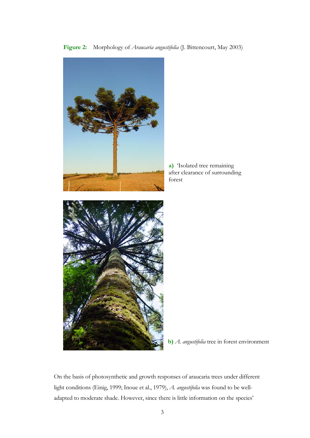**Figure 2:** Morphology of *Araucaria angustifolia* (J. Bittencourt, May 2003)



**a)** 'Isolated tree remaining after clearance of surrounding forest

**b)** *A. angustifolia* tree in forest environment

On the basis of photosynthetic and growth responses of araucaria trees under different light conditions (Einig, 1999; Inoue et al., 1979), *A. angustifolia* was found to be welladapted to moderate shade. However, since there is little information on the species'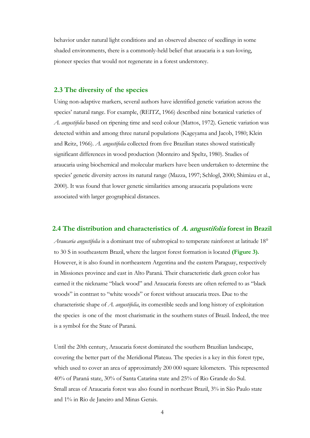behavior under natural light conditions and an observed absence of seedlings in some shaded environments, there is a commonly-held belief that araucaria is a sun-loving, pioneer species that would not regenerate in a forest understorey.

#### **2.3 The diversity of the species**

Using non-adaptive markers, several authors have identified genetic variation across the species' natural range. For example, (REITZ, 1966) described nine botanical varieties of *A. angustifolia* based on ripening time and seed colour (Mattos, 1972). Genetic variation was detected within and among three natural populations (Kageyama and Jacob, 1980; Klein and Reitz, 1966). *A. angustifolia* collected from five Brazilian states showed statistically significant differences in wood production (Monteiro and Speltz, 1980). Studies of araucaria using biochemical and molecular markers have been undertaken to determine the species' genetic diversity across its natural range (Mazza, 1997; Schlogl, 2000; Shimizu et al., 2000). It was found that lower genetic similarities among araucaria populations were associated with larger geographical distances.

#### **2.4 The distribution and characteristics of A. angustifolia forest in Brazil**

*Araucaria angustifolia* is a dominant tree of subtropical to temperate rainforest at latitude 18° to 30 S in southeastern Brazil, where the largest forest formation is located **(Figure 3).** However, it is also found in northeastern Argentina and the eastern Paraguay, respectively in Missiones province and east in Alto Paraná. Their characteristic dark green color has earned it the nickname "black wood" and Araucaria forests are often referred to as "black woods" in contrast to "white woods" or forest without araucaria trees. Due to the characteristic shape of *A. angustifolia*, its comestible seeds and long history of exploitation the species is one of the most charismatic in the southern states of Brazil. Indeed, the tree is a symbol for the State of Paraná.

Until the 20th century, Araucaria forest dominated the southern Brazilian landscape, covering the better part of the Meridional Plateau. The species is a key in this forest type, which used to cover an area of approximately 200 000 square kilometers. This represented 40% of Paraná state, 30% of Santa Catarina state and 25% of Rio Grande do Sul. Small areas of Araucaria forest was also found in northeast Brazil, 3% in São Paulo state and 1% in Rio de Janeiro and Minas Gerais.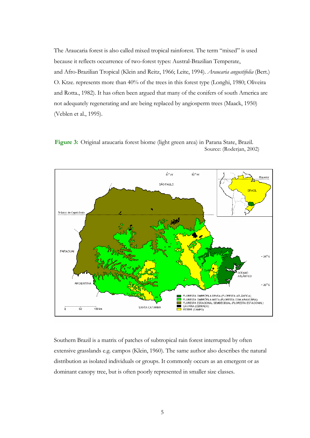The Araucaria forest is also called mixed tropical rainforest. The term "mixed" is used because it reflects occurrence of two-forest types: Austral-Brazilian Temperate, and Afro-Brazilian Tropical (Klein and Reitz, 1966; Leite, 1994). *Araucaria angustifolia* (Bert.) O. Ktze. represents more than 40% of the trees in this forest type (Longhi, 1980; Oliveira and Rotta., 1982). It has often been argued that many of the conifers of south America are not adequately regenerating and are being replaced by angiosperm trees (Maack, 1950) (Veblen et al., 1995).



 **Figure 3:** Original araucaria forest biome (light green area) in Parana State, Brazil. Source: (Roderjan, 2002)

Southern Brazil is a matrix of patches of subtropical rain forest interrupted by often extensive grasslands e.g. campos (Klein, 1960). The same author also describes the natural distribution as isolated individuals or groups. It commonly occurs as an emergent or as dominant canopy tree, but is often poorly represented in smaller size classes.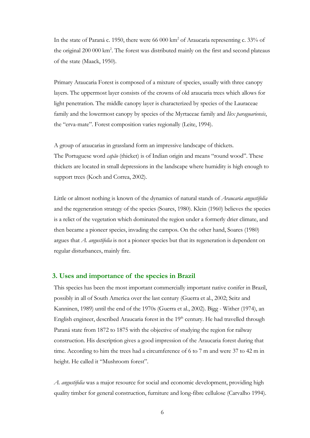In the state of Paraná c. 1950, there were 66 000 km<sup>2</sup> of Araucaria representing c. 33% of the original 200 000 km<sup>2</sup>. The forest was distributed mainly on the first and second plateaus of the state (Maack, 1950).

Primary Araucaria Forest is composed of a mixture of species, usually with three canopy layers. The uppermost layer consists of the crowns of old araucaria trees which allows for light penetration. The middle canopy layer is characterized by species of the Lauraceae family and the lowermost canopy by species of the Myrtaceae family and *Ilex paraguariensis*, the "erva-mate". Forest composition varies regionally (Leite, 1994).

A group of araucarias in grassland form an impressive landscape of thickets. The Portuguese word *capão* (thicket) is of Indian origin and means "round wood". These thickets are located in small depressions in the landscape where humidity is high enough to support trees (Koch and Correa, 2002).

Little or almost nothing is known of the dynamics of natural stands of *Araucaria angustifolia* and the regeneration strategy of the species (Soares, 1980). Klein (1960) believes the species is a relict of the vegetation which dominated the region under a formerly drier climate, and then became a pioneer species, invading the campos. On the other hand, Soares (1980) argues that *A. angustifolia* is not a pioneer species but that its regeneration is dependent on regular disturbances, mainly fire.

#### **3. Uses and importance of the species in Brazil**

This species has been the most important commercially important native conifer in Brazil, possibly in all of South America over the last century (Guerra et al., 2002; Seitz and Kanninen, 1989) until the end of the 1970s (Guerra et al., 2002). Bigg - Wither (1974), an English engineer, described Araucaria forest in the 19<sup>th</sup> century. He had travelled through Paraná state from 1872 to 1875 with the objective of studying the region for railway construction. His description gives a good impression of the Araucaria forest during that time. According to him the trees had a circumference of 6 to 7 m and were 37 to 42 m in height. He called it "Mushroom forest".

*A. angustifolia* was a major resource for social and economic development, providing high quality timber for general construction, furniture and long-fibre cellulose (Carvalho 1994).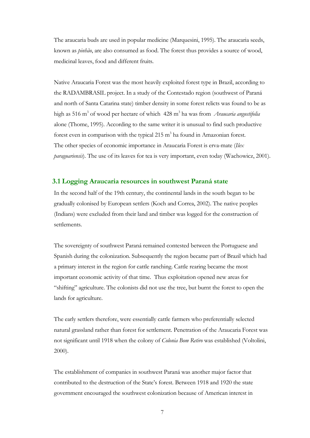The araucaria buds are used in popular medicine (Marquesini, 1995). The araucaria seeds, known as *pinhão*, are also consumed as food. The forest thus provides a source of wood, medicinal leaves, food and different fruits.

Native Araucaria Forest was the most heavily exploited forest type in Brazil, according to the RADAMBRASIL project. In a study of the Contestado region (southwest of Paraná and north of Santa Catarina state) timber density in some forest relicts was found to be as high as 516 m<sup>3</sup> of wood per hectare of which 428 m<sup>3</sup> ha was from *Araucaria angustifolia* alone (Thome, 1995). According to the same writer it is unusual to find such productive forest even in comparison with the typical  $215 \text{ m}^3$  ha found in Amazonian forest. The other species of economic importance in Araucaria Forest is erva-mate (*Ilex paraguariensis*). The use of its leaves for tea is very important, even today (Wachowicz, 2001).

#### **3.1 Logging Araucaria resources in southwest Paraná state**

In the second half of the 19th century, the continental lands in the south began to be gradually colonised by European settlers (Koch and Correa, 2002). The native peoples (Indians) were excluded from their land and timber was logged for the construction of settlements.

The sovereignty of southwest Paraná remained contested between the Portuguese and Spanish during the colonization. Subsequently the region became part of Brazil which had a primary interest in the region for cattle ranching. Cattle rearing became the most important economic activity of that time. Thus exploitation opened new areas for "shifting" agriculture. The colonists did not use the tree, but burnt the forest to open the lands for agriculture.

The early settlers therefore, were essentially cattle farmers who preferentially selected natural grassland rather than forest for settlement. Penetration of the Araucaria Forest was not significant until 1918 when the colony of *Colonia Bom Retiro* was established (Voltolini, 2000).

The establishment of companies in southwest Paraná was another major factor that contributed to the destruction of the State's forest. Between 1918 and 1920 the state government encouraged the southwest colonization because of American interest in

7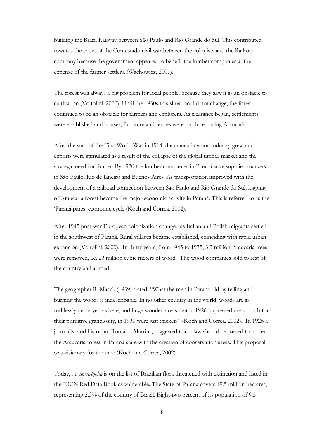building the Brasil Railway between São Paulo and Rio Grande do Sul. This contributed towards the onset of the Contestado civil war between the colonists and the Railroad company because the government appeared to benefit the lumber companies at the expense of the farmer settlers. (Wachowicz, 2001).

The forest was always a big problem for local people, because they saw it as an obstacle to cultivation (Voltolini, 2000). Until the 1930s this situation did not change; the forest continued to be an obstacle for farmers and explorers. As clearance began, settlements were established and houses, furniture and fences were produced using Araucaria.

After the start of the First World War in 1914, the araucaria wood industry grew and exports were stimulated as a result of the collapse of the global timber market and the strategic need for timber. By 1920 the lumber companies in Paraná state supplied markets in São Paulo, Rio de Janeiro and Buenos Aires. As transportation improved with the development of a railroad connection between São Paulo and Rio Grande do Sul, logging of Araucaria forest became the major economic activity in Paraná. This is referred to as the 'Paraná pines' economic cycle (Koch and Correa, 2002).

After 1945 post-war European colonization changed as Italian and Polish migrants settled in the southwest of Paraná. Rural villages became established, coinciding with rapid urban expansion (Voltolini, 2000). In thirty years, from 1945 to 1975, 3.3 million Araucaria trees were removed, i.e. 23 million cubic meters of wood. The wood companies sold to rest of the country and abroad.

The geographer R. Maack (1939) stated: "What the men in Paraná did by felling and burning the woods is indescribable. In no other country in the world, woods are as ruthlessly destroyed as here; and huge wooded areas that in 1926 impressed me so such for their primitive grandiosity, in 1930 were just thickets" (Koch and Correa, 2002). In 1926 a journalist and historian, Romário Martins, suggested that a law should be passed to protect the Araucaria forest in Paraná state with the creation of conservation areas. This proposal was visionary for the time (Koch and Correa, 2002).

Today, *A. angustifolia* is on the list of Brazilian flora threatened with extinction and listed in the IUCN Red Data Book as vulnerable. The State of Parana covers 19.5 million hectares, representing 2.3% of the country of Brazil. Eight-two percent of its population of 9.5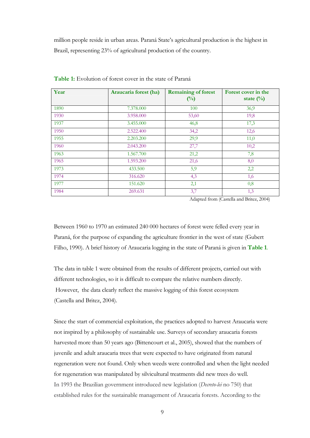million people reside in urban areas. Paraná State's agricultural production is the highest in Brazil, representing 23% of agricultural production of the country.

| Year | Araucaria forest (ha) | <b>Remaining of forest</b><br>$\binom{0}{0}$ | Forest cover in the<br>state $(\%)$ |
|------|-----------------------|----------------------------------------------|-------------------------------------|
| 1890 | 7.378.000             | 100                                          | 36,9                                |
| 1930 | 3.958.000             | 53,60                                        | 19,8                                |
| 1937 | 3.455.000             | 46,8                                         | 17,3                                |
| 1950 | 2.522.400             | 34,2                                         | 12,6                                |
| 1955 | 2.203.200             | 29,9                                         | 11,0                                |
| 1960 | 2.043.200             | 27,7                                         | 10,2                                |
| 1963 | 1.567.700             | 21,2                                         | 7,8                                 |
| 1965 | 1.593.200             | 21,6                                         | 8,0                                 |
| 1973 | 433.500               | 5,9                                          | 2,2                                 |
| 1974 | 316.620               | 4,3                                          | 1,6                                 |
| 1977 | 151.620               | 2,1                                          | 0,8                                 |
| 1984 | 269.631               | 3,7                                          | 1,3                                 |

**Table 1:** Evolution of forest cover in the state of Paraná

Adapted from (Castella and Britez, 2004)

Between 1960 to 1970 an estimated 240 000 hectares of forest were felled every year in Paraná, for the purpose of expanding the agriculture frontier in the west of state (Gubert Filho, 1990). A brief history of Araucaria logging in the state of Paraná is given in **Table 1***.*

The data in table 1 were obtained from the results of different projects, carried out with different technologies, so it is difficult to compare the relative numbers directly. However, the data clearly reflect the massive logging of this forest ecosystem (Castella and Britez, 2004).

Since the start of commercial exploitation, the practices adopted to harvest Araucaria were not inspired by a philosophy of sustainable use. Surveys of secondary araucaria forests harvested more than 50 years ago (Bittencourt et al., 2005), showed that the numbers of juvenile and adult araucaria trees that were expected to have originated from natural regeneration were not found. Only when weeds were controlled and when the light needed for regeneration was manipulated by silvicultural treatments did new trees do well. In 1993 the Brazilian government introduced new legislation (*Decreto-lei* no 750) that established rules for the sustainable management of Araucaria forests. According to the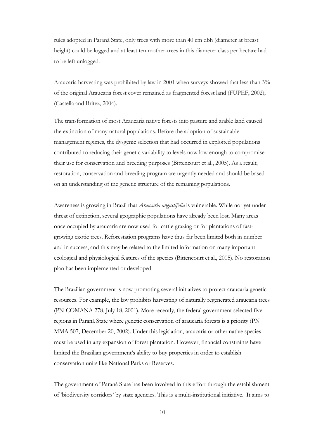rules adopted in Paraná State, only trees with more than 40 cm dbh (diameter at breast height) could be logged and at least ten mother-trees in this diameter class per hectare had to be left unlogged.

Araucaria harvesting was prohibited by law in 2001 when surveys showed that less than 3% of the original Araucaria forest cover remained as fragmented forest land (FUPEF, 2002); (Castella and Britez, 2004).

The transformation of most Araucaria native forests into pasture and arable land caused the extinction of many natural populations. Before the adoption of sustainable management regimes, the dysgenic selection that had occurred in exploited populations contributed to reducing their genetic variability to levels now low enough to compromise their use for conservation and breeding purposes (Bittencourt et al., 2005). As a result, restoration, conservation and breeding program are urgently needed and should be based on an understanding of the genetic structure of the remaining populations.

Awareness is growing in Brazil that *Araucaria angustifolia* is vulnerable. While not yet under threat of extinction, several geographic populations have already been lost. Many areas once occupied by araucaria are now used for cattle grazing or for plantations of fastgrowing exotic trees. Reforestation programs have thus far been limited both in number and in success, and this may be related to the limited information on many important ecological and physiological features of the species (Bittencourt et al., 2005). No restoration plan has been implemented or developed.

The Brazilian government is now promoting several initiatives to protect araucaria genetic resources. For example, the law prohibits harvesting of naturally regenerated araucaria trees (PN-COMANA 278, July 18, 2001). More recently, the federal government selected five regions in Paraná State where genetic conservation of araucaria forests is a priority (PN MMA 507, December 20, 2002). Under this legislation, araucaria or other native species must be used in any expansion of forest plantation. However, financial constraints have limited the Brazilian government's ability to buy properties in order to establish conservation units like National Parks or Reserves.

The government of Paraná State has been involved in this effort through the establishment of 'biodiversity corridors' by state agencies. This is a multi-institutional initiative. It aims to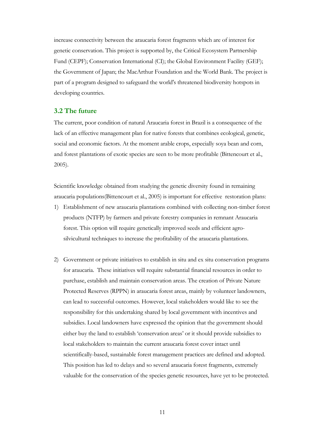increase connectivity between the araucaria forest fragments which are of interest for genetic conservation. This project is supported by, the Critical Ecosystem Partnership Fund (CEPF); Conservation International (CI); the Global Environment Facility (GEF); the Government of Japan; the MacArthur Foundation and the World Bank. The project is part of a program designed to safeguard the world's threatened biodiversity hotspots in developing countries.

### **3.2 The future**

The current, poor condition of natural Araucaria forest in Brazil is a consequence of the lack of an effective management plan for native forests that combines ecological, genetic, social and economic factors. At the moment arable crops, especially soya bean and corn, and forest plantations of exotic species are seen to be more profitable (Bittencourt et al., 2005).

Scientific knowledge obtained from studying the genetic diversity found in remaining araucaria populations(Bittencourt et al., 2005) is important for effective restoration plans:

- 1) Establishment of new araucaria plantations combined with collecting non-timber forest products (NTFP) by farmers and private forestry companies in remnant Araucaria forest. This option will require genetically improved seeds and efficient agrosilvicultural techniques to increase the profitability of the araucaria plantations.
- 2) Government or private initiatives to establish in situ and ex situ conservation programs for araucaria. These initiatives will require substantial financial resources in order to purchase, establish and maintain conservation areas. The creation of Private Nature Protected Reserves (RPPN) in araucaria forest areas, mainly by volunteer landowners, can lead to successful outcomes. However, local stakeholders would like to see the responsibility for this undertaking shared by local government with incentives and subsidies. Local landowners have expressed the opinion that the government should either buy the land to establish 'conservation areas' or it should provide subsidies to local stakeholders to maintain the current araucaria forest cover intact until scientifically-based, sustainable forest management practices are defined and adopted. This position has led to delays and so several araucaria forest fragments, extremely valuable for the conservation of the species genetic resources, have yet to be protected.

11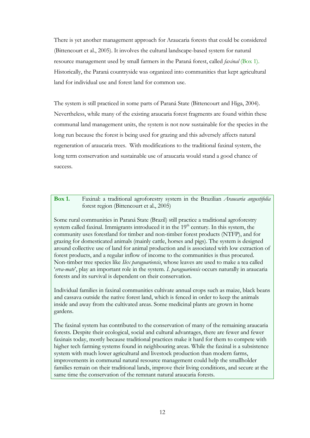There is yet another management approach for Araucaria forests that could be considered (Bittencourt et al., 2005). It involves the cultural landscape-based system for natural resource management used by small farmers in the Paraná forest, called *faxinal* (Box 1). Historically, the Paraná countryside was organized into communities that kept agricultural land for individual use and forest land for common use.

The system is still practiced in some parts of Paraná State (Bittencourt and Higa, 2004). Nevertheless, while many of the existing araucaria forest fragments are found within these communal land management units, the system is not now sustainable for the species in the long run because the forest is being used for grazing and this adversely affects natural regeneration of araucaria trees. With modifications to the traditional faxinal system, the long term conservation and sustainable use of araucaria would stand a good chance of success.

**Box 1.** Faxinal: a traditional agroforestry system in the Brazilian *Araucaria angustifolia*  forest region (Bittencourt et al., 2005)

Some rural communities in Paraná State (Brazil) still practice a traditional agroforestry system called faxinal. Immigrants introduced it in the 19<sup>th</sup> century. In this system, the community uses forestland for timber and non-timber forest products (NTFP), and for grazing for domesticated animals (mainly cattle, horses and pigs). The system is designed around collective use of land for animal production and is associated with low extraction of forest products, and a regular inflow of income to the communities is thus procured. Non-timber tree species like *Ilex paraguariensis*, whose leaves are used to make a tea called '*erva-mate*', play an important role in the system. *I. paraguariensis* occurs naturally in araucaria forests and its survival is dependent on their conservation.

Individual families in faxinal communities cultivate annual crops such as maize, black beans and cassava outside the native forest land, which is fenced in order to keep the animals inside and away from the cultivated areas. Some medicinal plants are grown in home gardens.

The faxinal system has contributed to the conservation of many of the remaining araucaria forests. Despite their ecological, social and cultural advantages, there are fewer and fewer faxinais today, mostly because traditional practices make it hard for them to compete with higher tech farming systems found in neighbouring areas. While the faxinal is a subsistence system with much lower agricultural and livestock production than modern farms, improvements in communal natural resource management could help the smallholder families remain on their traditional lands, improve their living conditions, and secure at the same time the conservation of the remnant natural araucaria forests.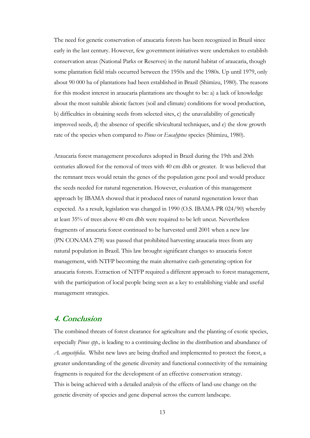The need for genetic conservation of araucaria forests has been recognized in Brazil since early in the last century. However, few government initiatives were undertaken to establish conservation areas (National Parks or Reserves) in the natural habitat of araucaria, though some plantation field trials occurred between the 1950s and the 1980s. Up until 1979, only about 90 000 ha of plantations had been established in Brazil (Shimizu, 1980). The reasons for this modest interest in araucaria plantations are thought to be: a) a lack of knowledge about the most suitable abiotic factors (soil and climate) conditions for wood production, b) difficulties in obtaining seeds from selected sites, c) the unavailability of genetically improved seeds, d) the absence of specific silvicultural techniques, and e) the slow growth rate of the species when compared to *Pinus* or *Eucalyptus* species (Shimizu, 1980).

Araucaria forest management procedures adopted in Brazil during the 19th and 20th centuries allowed for the removal of trees with 40 cm dbh or greater. It was believed that the remnant trees would retain the genes of the population gene pool and would produce the seeds needed for natural regeneration. However, evaluation of this management approach by IBAMA showed that it produced rates of natural regeneration lower than expected. As a result, legislation was changed in 1990 (O.S. IBAMA-PR 024/90) whereby at least 35% of trees above 40 cm dbh were required to be left uncut. Nevertheless fragments of araucaria forest continued to be harvested until 2001 when a new law (PN CONAMA 278) was passed that prohibited harvesting araucaria trees from any natural population in Brazil. This law brought significant changes to araucaria forest management, with NTFP becoming the main alternative cash-generating option for araucaria forests. Extraction of NTFP required a different approach to forest management, with the participation of local people being seen as a key to establishing viable and useful management strategies.

## **4. Conclusion**

The combined threats of forest clearance for agriculture and the planting of exotic species, especially *Pinus spp.,* is leading to a continuing decline in the distribution and abundance of *A. angustifolia.* Whilst new laws are being drafted and implemented to protect the forest, a greater understanding of the genetic diversity and functional connectivity of the remaining fragments is required for the development of an effective conservation strategy. This is being achieved with a detailed analysis of the effects of land-use change on the genetic diversity of species and gene dispersal across the current landscape.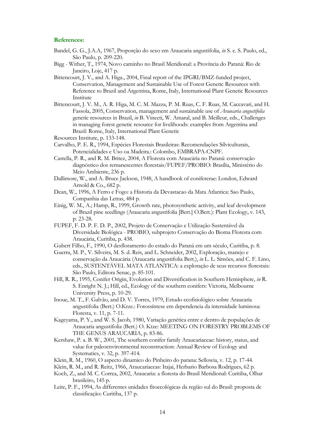#### **References:**

- Bandel, G. G., J.A.A, 1967, Proporção do sexo em Araucaria angustifolia, *in* S. e. S. Paulo, ed., São Paulo, p. 209-220.
- Bigg Wither, T., 1974, Novo caminho no Brasil Meridional: a Província do Paraná: Rio de Janeiro, Loje, 417 p.
- Bittencourt, J. V., and A. Higa., 2004, Final report of the IPGRI/BMZ-funded project, Conservation, Management and Sustainable Use of Forest Genetic Resources with Reference to Brazil and Argentina, Rome, Italy, International Plant Genetic Resources Institute
- Bittencourt, J. V. M., A. R. Higa, M. C. M. Mazza, P. M. Ruas, C. F. Ruas, M. Caccavari, and H. Fassola, 2005, Conservation, management and sustainable use of *Araucaria angustifolia* genetic resources in Brazil, *in* B. Vinceti, W. Amaral, and B. Meilleur, eds., Challenges in managing forest genetic resource for livelihoods: examples from Argentina and Brazil: Rome, Italy, International Plant Genetic
- Resources Institute, p. 133-148.
- Carvalho, P. E. R., 1994, Espécies Florestais Brasileiras: Recomendações Sílviculturais, Potencialidades e Uso oa Madeira.: Colombo, EMBRAPA-CNPF.
- Castella, P. R., and R. M. Britez, 2004, A Floresta com Araucária no Paraná: conservação diagnóstico dos remanescentes florestais/FUPEF/PROBIO: Brasília, Ministério do Meio Ambiente, 236 p.
- Dallimore, W., and A. Bruce Jackson, 1948, A handbook of conifererae: London, Edward Arnold & Co., 682 p.
- Dean, W., 1996, A Ferro e Fogo: a Historia da Devastacao da Mata Atlantica: Sao Paulo, Companhia das Letras, 484 p.
- Einig, W. M., A.; Hamp, R., 1999, Growth rate, photosynthetic activity, and leaf development of Brazil pine seedlings (Araucaria angustifolia [Bert.] O.Bert.): Plant Ecology, v. 143, p. 23-28.
- FUPEF, F. D. P. F. D. P., 2002, Projeto de Conservação e Utilização Sustentável da Diversidade Biológica - PROBIO, subprojeto Conservação do Bioma Floresta com Araucária, Curitiba, p. 438.
- Gubert Filho, F., 1990, O desfloramento do estado do Paraná em um século, Curitiba, p. 8.
- Guerra, M. P., V. Silveira, M. S. d. Reis, and L. Schneider, 2002, Exploração, manejo e conservação da Araucária (Araucaria angustifolia Bert.), *in* L. L. Simões, and C. F. Lino, eds., SUSTENTÁVEL MATA ATLANTICA: a exploração de seus recursos florestais: São Paulo, Editora Senac, p. 85-101.
- Hill, R. R., 1995, Conifer Origin, Evolution and Diversification in Southern Hemisphere, *in* R. S. Enright N. J.; Hill, ed., Ecology of the southern conifers: Victoria, Melbourne University Press, p. 10-29.
- Inoue, M. T., F. Galvão, and D. V. Torres, 1979, Estudo ecofisiológico sobre Araucaria angustifolia (Bert.) O.Ktze.: Fotossíntese em dependencia da intensidade luminosa: Floresta, v. 11, p. 7-11.
- Kageyama, P. Y., and W. S. Jacob, 1980, Variação genética entre e dentro de populações de Araucaria angustifolia (Bert.) O. Ktze: MEETING ON FORESTRY PROBLEMS OF THE GENUS ARAUCARIA, p. 83-86.
- Kershaw, P. a. B. W., 2001, The southern conifer family Araucariaceae: history, status, and value for paleoenvironmental reconstruction: Annual Review of Ecology and Systematics, v. 32, p. 397-414.
- Klein, R. M., 1960, O aspecto dinamico do Pinheiro do parana: Sellowia, v. 12, p. 17-44.
- Klein, R. M., and R. Reitz, 1966, Araucariaceas: Itajai, Herbario Barbosa Rodrigues, 62 p.
- Koch, Z., and M. C. Correa, 2002, Araucaria: a floresta do Brasil Meridional: Curitiba, Olhar brasileiro, 145 p.
- Leite, P. F., 1994, As differentes unidades fitoecológicas da região sul do Brasil: proposta de classificação: Curitiba, 137 p.